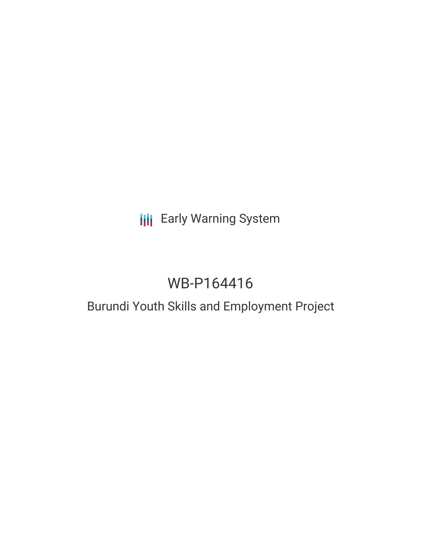## **III** Early Warning System

# WB-P164416

## Burundi Youth Skills and Employment Project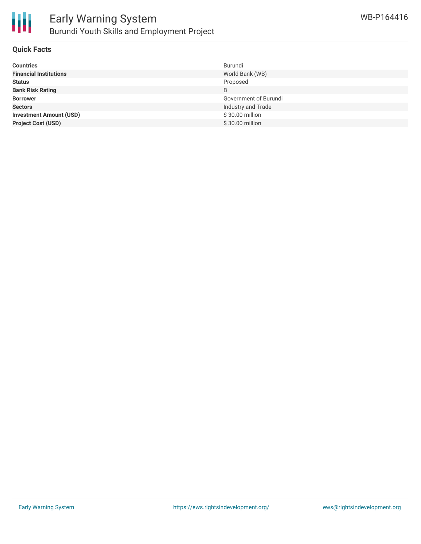

### Early Warning System Burundi Youth Skills and Employment Project

### **Quick Facts**

| <b>Countries</b>               | Burundi               |
|--------------------------------|-----------------------|
| <b>Financial Institutions</b>  | World Bank (WB)       |
| <b>Status</b>                  | Proposed              |
| <b>Bank Risk Rating</b>        | B                     |
| <b>Borrower</b>                | Government of Burundi |
| <b>Sectors</b>                 | Industry and Trade    |
| <b>Investment Amount (USD)</b> | \$30.00 million       |
| <b>Project Cost (USD)</b>      | \$30.00 million       |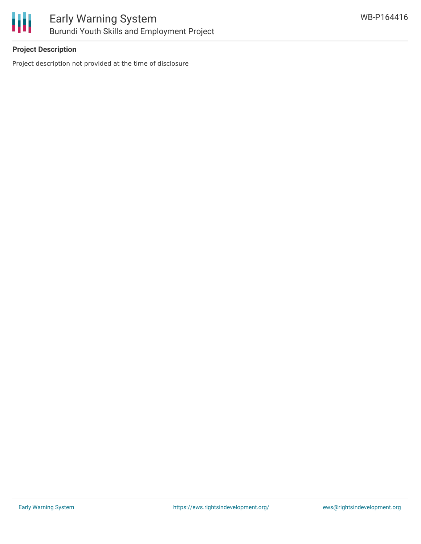

### **Project Description**

Project description not provided at the time of disclosure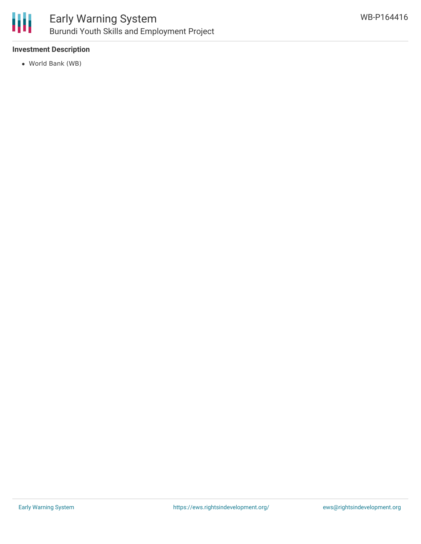

### Early Warning System Burundi Youth Skills and Employment Project

### **Investment Description**

World Bank (WB)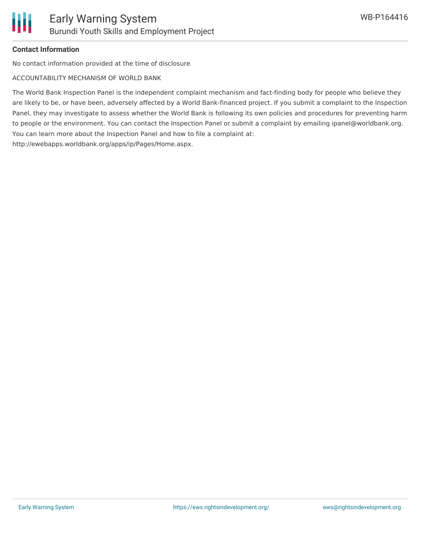### **Contact Information**

No contact information provided at the time of disclosure

ACCOUNTABILITY MECHANISM OF WORLD BANK

The World Bank Inspection Panel is the independent complaint mechanism and fact-finding body for people who believe they are likely to be, or have been, adversely affected by a World Bank-financed project. If you submit a complaint to the Inspection Panel, they may investigate to assess whether the World Bank is following its own policies and procedures for preventing harm to people or the environment. You can contact the Inspection Panel or submit a complaint by emailing ipanel@worldbank.org. You can learn more about the Inspection Panel and how to file a complaint at: http://ewebapps.worldbank.org/apps/ip/Pages/Home.aspx.